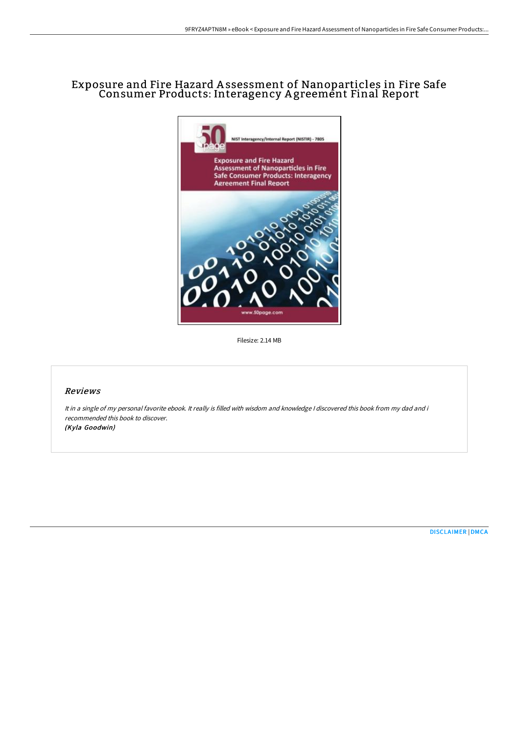## Exposure and Fire Hazard A ssessment of Nanoparticles in Fire Safe Consumer Products: Interagency A greement Final Report



Filesize: 2.14 MB

## Reviews

It in <sup>a</sup> single of my personal favorite ebook. It really is filled with wisdom and knowledge <sup>I</sup> discovered this book from my dad and i recommended this book to discover. (Kyla Goodwin)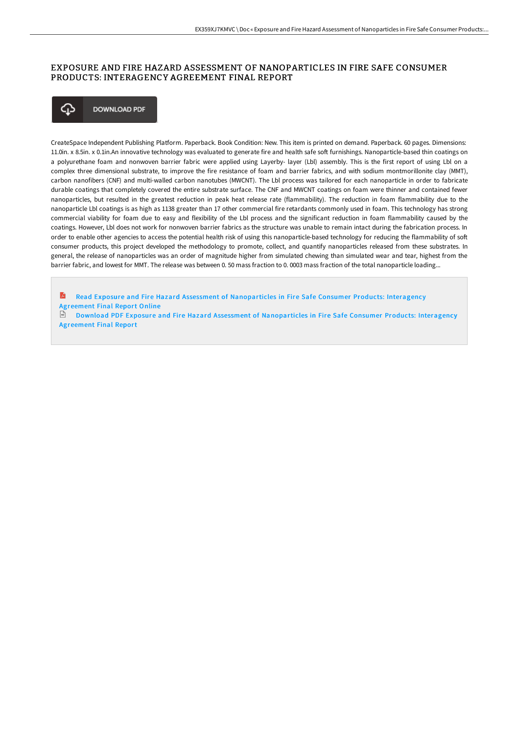## EXPOSURE AND FIRE HAZARD ASSESSMENT OF NANOPARTICLES IN FIRE SAFE CONSUMER PRODUCTS: INTERAGENCY AGREEMENT FINAL REPORT



CreateSpace Independent Publishing Platform. Paperback. Book Condition: New. This item is printed on demand. Paperback. 60 pages. Dimensions: 11.0in. x 8.5in. x 0.1in.An innovative technology was evaluated to generate fire and health safe soft furnishings. Nanoparticle-based thin coatings on a polyurethane foam and nonwoven barrier fabric were applied using Layerby- layer (Lbl) assembly. This is the first report of using Lbl on a complex three dimensional substrate, to improve the fire resistance of foam and barrier fabrics, and with sodium montmorillonite clay (MMT), carbon nanofibers (CNF) and multi-walled carbon nanotubes (MWCNT). The Lbl process was tailored for each nanoparticle in order to fabricate durable coatings that completely covered the entire substrate surface. The CNF and MWCNT coatings on foam were thinner and contained fewer nanoparticles, but resulted in the greatest reduction in peak heat release rate (flammability). The reduction in foam flammability due to the nanoparticle Lbl coatings is as high as 1138 greater than 17 other commercial fire retardants commonly used in foam. This technology has strong commercial viability for foam due to easy and flexibility of the Lbl process and the significant reduction in foam flammability caused by the coatings. However, Lbl does not work for nonwoven barrier fabrics as the structure was unable to remain intact during the fabrication process. In order to enable other agencies to access the potential health risk of using this nanoparticle-based technology for reducing the flammability of soft consumer products, this project developed the methodology to promote, collect, and quantify nanoparticles released from these substrates. In general, the release of nanoparticles was an order of magnitude higher from simulated chewing than simulated wear and tear, highest from the barrier fabric, and lowest for MMT. The release was between 0. 50 mass fraction to 0. 0003 mass fraction of the total nanoparticle loading...

R Read Exposure and Fire Hazard Assessment of [Nanoparticles](http://techno-pub.tech/exposure-and-fire-hazard-assessment-of-nanoparti.html) in Fire Safe Consumer Products: Interagency Agreement Final Report Online

Download PDF Exposure and Fire Hazard Assessment of [Nanoparticles](http://techno-pub.tech/exposure-and-fire-hazard-assessment-of-nanoparti.html) in Fire Safe Consumer Products: Interagency Agreement Final Report